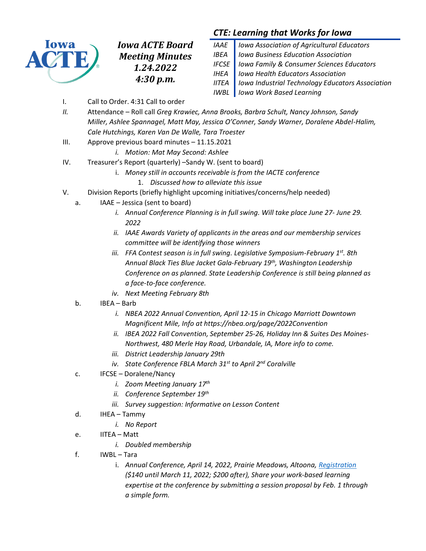

*Iowa ACTE Board Meeting Minutes 1.24.2022 4:30 p.m.*

# *CTE: Learning that Works for Iowa*

| IAAE   Iowa Association of Agricultural Educators               |  |
|-----------------------------------------------------------------|--|
| <b>IBEA</b>   Iowa Business Education Association               |  |
| <b>IFCSE</b>   Iowa Family & Consumer Sciences Educators        |  |
| <b>IHEA</b>   Iowa Health Educators Association                 |  |
| <b>IITEA</b>   Iowa Industrial Technology Educators Association |  |
| <b>IWBL</b> lowa Work Based Learning                            |  |

- I. Call to Order. 4:31 Call to order
- *II.* Attendance Roll call *Greg Krawiec, Anna Brooks, Barbra Schult, Nancy Johnson, Sandy Miller, Ashlee Spannagel, Matt May, Jessica O'Conner, Sandy Warner, Doralene Abdel-Halim, Cale Hutchings, Karen Van De Walle, Tara Troester*
- III. Approve previous board minutes 11.15.2021
	- *i. Motion: Mat May Second: Ashlee*
- IV. Treasurer's Report (quarterly) –Sandy W. (sent to board)
	- i. *Money still in accounts receivable is from the IACTE conference*
		- 1. *Discussed how to alleviate this issue*
- V. Division Reports (briefly highlight upcoming initiatives/concerns/help needed)
- a. IAAE Jessica (sent to board)
	- *i. Annual Conference Planning is in full swing. Will take place June 27- June 29. 2022*
	- *ii. IAAE Awards Variety of applicants in the areas and our membership services committee will be identifying those winners*
	- *iii. FFA Contest season is in full swing. Legislative Symposium-February 1st . 8th Annual Black Ties Blue Jacket Gala-February 19th , Washington Leadership Conference on as planned. State Leadership Conference is still being planned as a face-to-face conference.*
	- *iv. Next Meeting February 8th*
	- b. IBEA Barb
		- *i. NBEA 2022 Annual Convention, April 12-15 in Chicago Marriott Downtown Magnificent Mile, Info at https://nbea.org/page/2022Convention*
		- *ii. IBEA 2022 Fall Convention, September 25-26, Holiday Inn & Suites Des Moines-Northwest, 480 Merle Hay Road, Urbandale, IA, More info to come.*
		- *iii. District Leadership January 29th*
		- *iv. State Conference FBLA March 31st to April 2nd Coralville*
	- c. IFCSE Doralene/Nancy
		- *i. Zoom Meeting January 17th*
		- *ii. Conference September 19th*
		- *iii. Survey suggestion: Informative on Lesson Content*
	- d. IHEA Tammy
		- *i. No Report*
	- e. IITEA Matt
		- *i. Doubled membership*
	- f. IWBL Tara
		- i. *Annual Conference, April 14, 2022, Prairie Meadows, Altoona[, Registration](http://www.iowawbl.org/pd/) (\$140 until March 11, 2022; \$200 after), Share your work-based learning expertise at the conference by submitting a session proposal by Feb. 1 through a simple form.*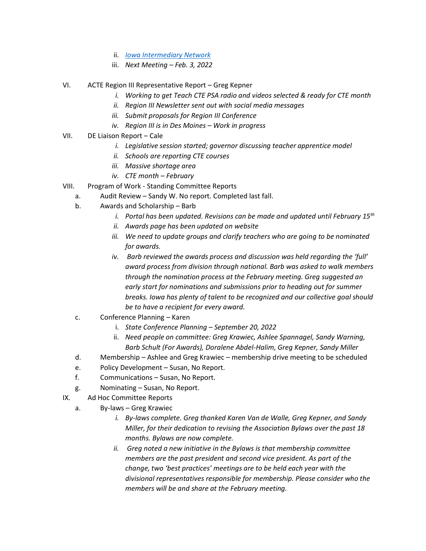- ii. *[Iowa Intermediary Network](https://www.iowain.org/)*
- iii. *Next Meeting – Feb. 3, 2022*
- VI. ACTE Region III Representative Report Greg Kepner
	- *i. Working to get Teach CTE PSA radio and videos selected & ready for CTE month*
	- *ii. Region III Newsletter sent out with social media messages*
	- *iii. Submit proposals for Region III Conference*
	- *iv. Region III is in Des Moines – Work in progress*
- VII. DE Liaison Report Cale
	- *i. Legislative session started; governor discussing teacher apprentice model*
	- *ii. Schools are reporting CTE courses*
	- *iii. Massive shortage area*
	- *iv. CTE month – February*
- VIII. Program of Work Standing Committee Reports
	- a. Audit Review Sandy W. No report. Completed last fall.
	- b. Awards and Scholarship Barb
		- *i. Portal has been updated. Revisions can be made and updated until February 15th*
		- *ii. Awards page has been updated on website*
		- *iii. We need to update groups and clarify teachers who are going to be nominated for awards.*
		- *iv. Barb reviewed the awards process and discussion was held regarding the 'full' award process from division through national. Barb was asked to walk members through the nomination process at the February meeting. Greg suggested an early start for nominations and submissions prior to heading out for summer breaks. Iowa has plenty of talent to be recognized and our collective goal should be to have a recipient for every award.*
	- c. Conference Planning Karen
		- i. *State Conference Planning – September 20, 2022*
		- ii. *Need people on committee: Greg Krawiec, Ashlee Spannagel, Sandy Warning, Barb Schult (For Awards), Doralene Abdel-Halim, Greg Kepner, Sandy Miller*
	- d. Membership Ashlee and Greg Krawiec membership drive meeting to be scheduled
	- e. Policy Development Susan, No Report.
	- f. Communications Susan, No Report.
	- g. Nominating Susan, No Report.
- IX. Ad Hoc Committee Reports
	- a. By-laws Greg Krawiec
		- *i. By-laws complete. Greg thanked Karen Van de Walle, Greg Kepner, and Sandy Miller, for their dedication to revising the Association Bylaws over the past 18 months. Bylaws are now complete.*
		- *ii. Greg noted a new initiative in the Bylaws is that membership committee members are the past president and second vice president. As part of the change, two 'best practices' meetings are to be held each year with the divisional representatives responsible for membership. Please consider who the members will be and share at the February meeting.*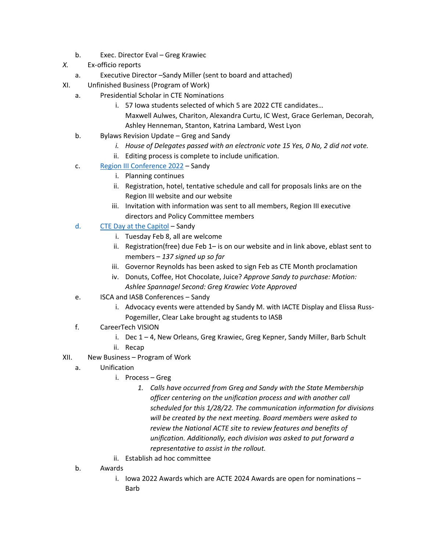- b. Exec. Director Eval Greg Krawiec
- *X.* Ex-officio reports
	- a. Executive Director –Sandy Miller (sent to board and attached)
- XI. Unfinished Business (Program of Work)
	- a. Presidential Scholar in CTE Nominations
		- i. 57 Iowa students selected of which 5 are 2022 CTE candidates… Maxwell Aulwes, Chariton, Alexandra Curtu, IC West, Grace Gerleman, Decorah, Ashley Henneman, Stanton, Katrina Lambard, West Lyon
	- b. Bylaws Revision Update Greg and Sandy
		- *i. House of Delegates passed with an electronic vote 15 Yes, 0 No, 2 did not vote.*
		- ii. Editing process is complete to include unification.
	- c. [Region III Conference 2022](https://www.acteonline.org/region-page/region-iii-workshops-and-conferences/) Sandy
		- i. Planning continues
		- ii. Registration, hotel, tentative schedule and call for proposals links are on the Region III website and our website
		- iii. Invitation with information was sent to all members, Region III executive directors and Policy Committee members
	- d. [CTE Day at the Capitol](https://www.acteonline.org/iowa-association-for-career-and-technical-education/#toggle-id-4) Sandy
		- i. Tuesday Feb 8, all are welcome
		- ii. Registration(free) due Feb 1– is on our website and in link above, eblast sent to members – *137 signed up so far*
		- iii. Governor Reynolds has been asked to sign Feb as CTE Month proclamation
		- iv. Donuts, Coffee, Hot Chocolate, Juice? *Approve Sandy to purchase: Motion: Ashlee Spannagel Second: Greg Krawiec Vote Approved*
	- e. ISCA and IASB Conferences Sandy
		- i. Advocacy events were attended by Sandy M. with IACTE Display and Elissa Russ-Pogemiller, Clear Lake brought ag students to IASB
	- f. CareerTech VISION
		- i. Dec 1 4, New Orleans, Greg Krawiec, Greg Kepner, Sandy Miller, Barb Schult
		- ii. Recap
- XII. New Business Program of Work
	- a. Unification
		- i. Process Greg
			- *1. Calls have occurred from Greg and Sandy with the State Membership officer centering on the unification process and with another call scheduled for this 1/28/22. The communication information for divisions will be created by the next meeting. Board members were asked to review the National ACTE site to review features and benefits of unification. Additionally, each division was asked to put forward a representative to assist in the rollout.*
		- ii. Establish ad hoc committee
	- b. Awards
		- i. Iowa 2022 Awards which are ACTE 2024 Awards are open for nominations Barb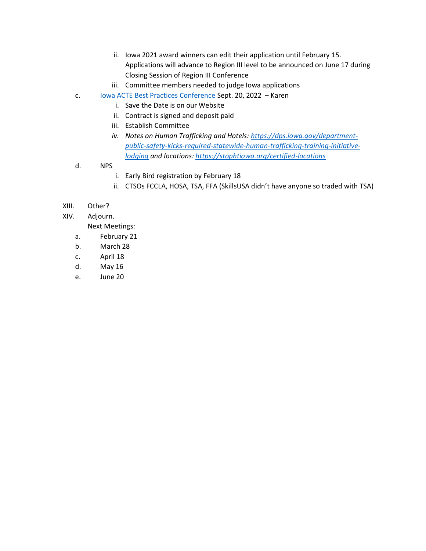- ii. Iowa 2021 award winners can edit their application until February 15. Applications will advance to Region III level to be announced on June 17 during Closing Session of Region III Conference
- iii. Committee members needed to judge Iowa applications
- c. [Iowa ACTE Best Practices Conference](https://www.acteonline.org/iowa-association-for-career-and-technical-education/iowa-acte-annual-conference-best-practices/) Sept. 20, 2022 Karen
	- i. Save the Date is on our Website
	- ii. Contract is signed and deposit paid
	- iii. Establish Committee
	- *iv. Notes on Human Trafficking and Hotels: [https://dps.iowa.gov/department](https://dps.iowa.gov/department-public-safety-kicks-required-statewide-human-trafficking-training-initiative-lodging)[public-safety-kicks-required-statewide-human-trafficking-training-initiative](https://dps.iowa.gov/department-public-safety-kicks-required-statewide-human-trafficking-training-initiative-lodging)[lodging](https://dps.iowa.gov/department-public-safety-kicks-required-statewide-human-trafficking-training-initiative-lodging) and locations:<https://stophtiowa.org/certified-locations>*
- d. NPS
	- i. Early Bird registration by February 18
	- ii. CTSOs FCCLA, HOSA, TSA, FFA (SkillsUSA didn't have anyone so traded with TSA)
- XIII. Other?
- XIV. Adjourn.

Next Meetings:

- a. February 21
- b. March 28
- c. April 18
- d. May 16
- e. June 20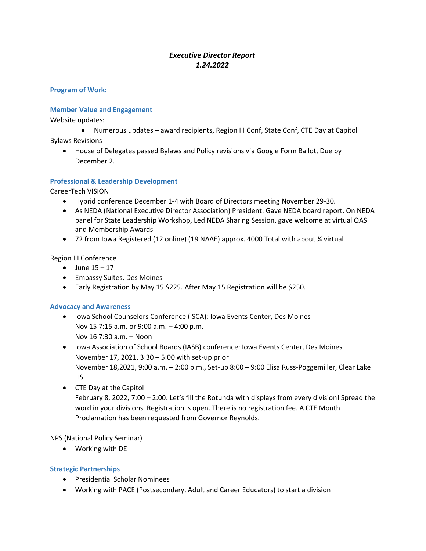## *Executive Director Report 1.24.2022*

**Program of Work:**

#### **Member Value and Engagement**

Website updates:

- Numerous updates award recipients, Region III Conf, State Conf, CTE Day at Capitol Bylaws Revisions
	- House of Delegates passed Bylaws and Policy revisions via Google Form Ballot, Due by December 2.

#### **Professional & Leadership Development**

CareerTech VISION

- Hybrid conference December 1-4 with Board of Directors meeting November 29-30.
- As NEDA (National Executive Director Association) President: Gave NEDA board report, On NEDA panel for State Leadership Workshop, Led NEDA Sharing Session, gave welcome at virtual QAS and Membership Awards
- 72 from Iowa Registered (12 online) (19 NAAE) approx. 4000 Total with about ¼ virtual

Region III Conference

- June  $15 17$
- Embassy Suites, Des Moines
- Early Registration by May 15 \$225. After May 15 Registration will be \$250.

#### **Advocacy and Awareness**

- Iowa School Counselors Conference (ISCA): Iowa Events Center, Des Moines Nov 15 7:15 a.m. or 9:00 a.m. – 4:00 p.m. Nov 16 7:30 a.m. – Noon
- Iowa Association of School Boards (IASB) conference: Iowa Events Center, Des Moines November 17, 2021, 3:30 – 5:00 with set-up prior November 18,2021, 9:00 a.m. – 2:00 p.m., Set-up 8:00 – 9:00 Elisa Russ-Poggemiller, Clear Lake HS
- CTE Day at the Capitol February 8, 2022, 7:00 – 2:00. Let's fill the Rotunda with displays from every division! Spread the word in your divisions. Registration is open. There is no registration fee. A CTE Month Proclamation has been requested from Governor Reynolds.

NPS (National Policy Seminar)

• Working with DE

### **Strategic Partnerships**

- Presidential Scholar Nominees
- Working with PACE (Postsecondary, Adult and Career Educators) to start a division